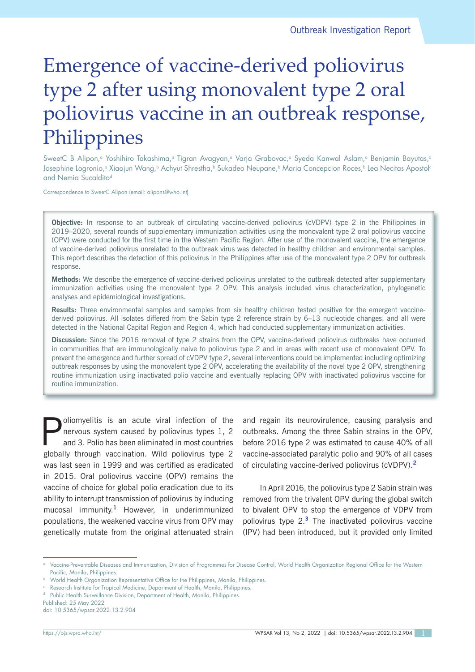# Emergence of vaccine-derived poliovirus type 2 after using monovalent type 2 oral poliovirus vaccine in an outbreak response, Philippines

SweetC B Alipon,<sup>a</sup> Yoshihiro Takashima,<sup>a</sup> Tigran Avagyan,<sup>a</sup> Varja Grabovac,<sup>a</sup> Syeda Kanwal Aslam,<sup>a</sup> Benjamin Bayutas,<sup>a</sup> Josephine Logronio,<sup>a</sup> Xiaojun Wang,<sup>b</sup> Achyut Shrestha,<sup>b</sup> Sukadeo Neupane,<sup>b</sup> Maria Concepcion Roces,<sup>b</sup> Lea Necitas Apostol<sup>c</sup> and Nemia Sucaldito<sup>d</sup>

Correspondence to SweetC Alipon (email: alipons@who.int)

**Objective:** In response to an outbreak of circulating vaccine-derived poliovirus (cVDPV) type 2 in the Philippines in 2019–2020, several rounds of supplementary immunization activities using the monovalent type 2 oral poliovirus vaccine (OPV) were conducted for the first time in the Western Pacific Region. After use of the monovalent vaccine, the emergence of vaccine-derived poliovirus unrelated to the outbreak virus was detected in healthy children and environmental samples. This report describes the detection of this poliovirus in the Philippines after use of the monovalent type 2 OPV for outbreak response.

**Methods:** We describe the emergence of vaccine-derived poliovirus unrelated to the outbreak detected after supplementary immunization activities using the monovalent type 2 OPV. This analysis included virus characterization, phylogenetic analyses and epidemiological investigations.

**Results:** Three environmental samples and samples from six healthy children tested positive for the emergent vaccinederived poliovirus. All isolates differed from the Sabin type 2 reference strain by 6–13 nucleotide changes, and all were detected in the National Capital Region and Region 4, which had conducted supplementary immunization activities.

**Discussion:** Since the 2016 removal of type 2 strains from the OPV, vaccine-derived poliovirus outbreaks have occurred in communities that are immunologically naive to poliovirus type 2 and in areas with recent use of monovalent OPV. To prevent the emergence and further spread of cVDPV type 2, several interventions could be implemented including optimizing outbreak responses by using the monovalent type 2 OPV, accelerating the availability of the novel type 2 OPV, strengthening routine immunization using inactivated polio vaccine and eventually replacing OPV with inactivated poliovirus vaccine for routine immunization.

**Poliomyelitis is an acute viral infection of the**<br>nervous system caused by poliovirus types 1, 2<br>and 3. Polio has been eliminated in most countries nervous system caused by poliovirus types 1, 2 and 3. Polio has been eliminated in most countries globally through vaccination. Wild poliovirus type 2 was last seen in 1999 and was certified as eradicated in 2015. Oral poliovirus vaccine (OPV) remains the vaccine of choice for global polio eradication due to its ability to interrupt transmission of poliovirus by inducing mucosal immunity.**<sup>1</sup>** However, in underimmunized populations, the weakened vaccine virus from OPV may genetically mutate from the original attenuated strain

and regain its neurovirulence, causing paralysis and outbreaks. Among the three Sabin strains in the OPV, before 2016 type 2 was estimated to cause 40% of all vaccine-associated paralytic polio and 90% of all cases of circulating vaccine-derived poliovirus (cVDPV).**<sup>2</sup>**

In April 2016, the poliovirus type 2 Sabin strain was removed from the trivalent OPV during the global switch to bivalent OPV to stop the emergence of VDPV from poliovirus type 2.**<sup>3</sup>** The inactivated poliovirus vaccine (IPV) had been introduced, but it provided only limited

Published: 25 May 2022 doi: 10.5365/wpsar.2022.13.2.904

<sup>a</sup> Vaccine-Preventable Diseases and Immunization, Division of Programmes for Disease Control, World Health Organization Regional Office for the Western Pacific, Manila, Philippines.

**b** World Health Organization Representative Office for the Philippines, Manila, Philippines.

Research Institute for Tropical Medicine, Department of Health, Manila, Philippines.

<sup>&</sup>lt;sup>d</sup> Public Health Surveillance Division, Department of Health, Manila, Philippines.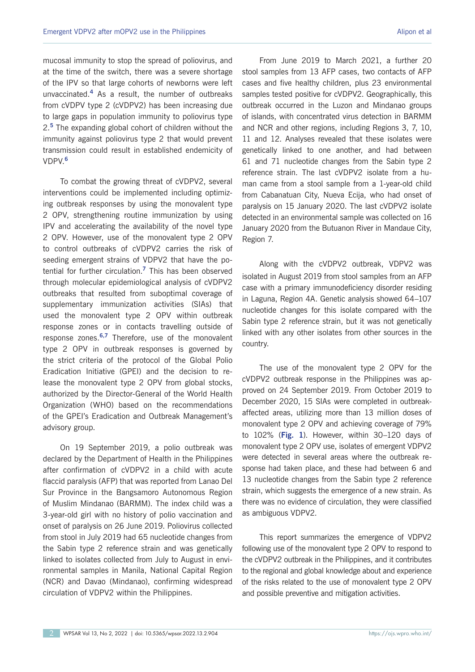mucosal immunity to stop the spread of poliovirus, and at the time of the switch, there was a severe shortage of the IPV so that large cohorts of newborns were left unvaccinated.**<sup>4</sup>** As a result, the number of outbreaks from cVDPV type 2 (cVDPV2) has been increasing due to large gaps in population immunity to poliovirus type 2.**<sup>5</sup>** The expanding global cohort of children without the immunity against poliovirus type 2 that would prevent transmission could result in established endemicity of VDPV.**<sup>6</sup>**

To combat the growing threat of cVDPV2, several interventions could be implemented including optimizing outbreak responses by using the monovalent type 2 OPV, strengthening routine immunization by using IPV and accelerating the availability of the novel type 2 OPV. However, use of the monovalent type 2 OPV to control outbreaks of cVDPV2 carries the risk of seeding emergent strains of VDPV2 that have the potential for further circulation.**<sup>7</sup>** This has been observed through molecular epidemiological analysis of cVDPV2 outbreaks that resulted from suboptimal coverage of supplementary immunization activities (SIAs) that used the monovalent type 2 OPV within outbreak response zones or in contacts travelling outside of response zones.**6,7** Therefore, use of the monovalent type 2 OPV in outbreak responses is governed by the strict criteria of the protocol of the Global Polio Eradication Initiative (GPEI) and the decision to release the monovalent type 2 OPV from global stocks, authorized by the Director-General of the World Health Organization (WHO) based on the recommendations of the GPEI's Eradication and Outbreak Management's advisory group.

On 19 September 2019, a polio outbreak was declared by the Department of Health in the Philippines after confirmation of cVDPV2 in a child with acute flaccid paralysis (AFP) that was reported from Lanao Del Sur Province in the Bangsamoro Autonomous Region of Muslim Mindanao (BARMM). The index child was a 3-year-old girl with no history of polio vaccination and onset of paralysis on 26 June 2019. Poliovirus collected from stool in July 2019 had 65 nucleotide changes from the Sabin type 2 reference strain and was genetically linked to isolates collected from July to August in environmental samples in Manila, National Capital Region (NCR) and Davao (Mindanao), confirming widespread circulation of VDPV2 within the Philippines.

From June 2019 to March 2021, a further 20 stool samples from 13 AFP cases, two contacts of AFP cases and five healthy children, plus 23 environmental samples tested positive for cVDPV2. Geographically, this outbreak occurred in the Luzon and Mindanao groups of islands, with concentrated virus detection in BARMM and NCR and other regions, including Regions 3, 7, 10, 11 and 12. Analyses revealed that these isolates were genetically linked to one another, and had between 61 and 71 nucleotide changes from the Sabin type 2 reference strain. The last cVDPV2 isolate from a human came from a stool sample from a 1-year-old child from Cabanatuan City, Nueva Ecija, who had onset of paralysis on 15 January 2020. The last cVDPV2 isolate detected in an environmental sample was collected on 16 January 2020 from the Butuanon River in Mandaue City, Region 7.

Along with the cVDPV2 outbreak, VDPV2 was isolated in August 2019 from stool samples from an AFP case with a primary immunodeficiency disorder residing in Laguna, Region 4A. Genetic analysis showed 64–107 nucleotide changes for this isolate compared with the Sabin type 2 reference strain, but it was not genetically linked with any other isolates from other sources in the country.

The use of the monovalent type 2 OPV for the cVDPV2 outbreak response in the Philippines was approved on 24 September 2019. From October 2019 to December 2020, 15 SIAs were completed in outbreakaffected areas, utilizing more than 13 million doses of monovalent type 2 OPV and achieving coverage of 79% to 102% (**Fig. 1**). However, within 30–120 days of monovalent type 2 OPV use, isolates of emergent VDPV2 were detected in several areas where the outbreak response had taken place, and these had between 6 and 13 nucleotide changes from the Sabin type 2 reference strain, which suggests the emergence of a new strain. As there was no evidence of circulation, they were classified as ambiguous VDPV2.

This report summarizes the emergence of VDPV2 following use of the monovalent type 2 OPV to respond to the cVDPV2 outbreak in the Philippines, and it contributes to the regional and global knowledge about and experience of the risks related to the use of monovalent type 2 OPV and possible preventive and mitigation activities.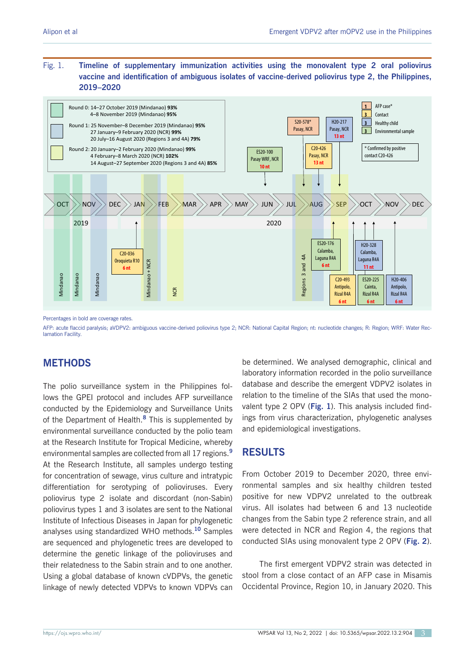## Fig. 1. **Timeline of supplementary immunization activities using the monovalent type 2 oral poliovirus vaccine and identification of ambiguous isolates of vaccine-derived poliovirus type 2, the Philippines, 2019–2020**



Percentages in bold are coverage rates.

AFP: acute flaccid paralysis; aVDPV2: ambiguous vaccine-derived poliovirus type 2; NCR: National Capital Region; nt: nucleotide changes; R: Region; WRF: Water Rec**lamation Facility** 

# **METHODS**

The polio surveillance system in the Philippines follows the GPEI protocol and includes AFP surveillance conducted by the Epidemiology and Surveillance Units of the Department of Health.**<sup>8</sup>** This is supplemented by environmental surveillance conducted by the polio team at the Research Institute for Tropical Medicine, whereby environmental samples are collected from all 17 regions.**<sup>9</sup>** At the Research Institute, all samples undergo testing for concentration of sewage, virus culture and intratypic differentiation for serotyping of polioviruses. Every poliovirus type 2 isolate and discordant (non-Sabin) poliovirus types 1 and 3 isolates are sent to the National Institute of Infectious Diseases in Japan for phylogenetic analyses using standardized WHO methods.**<sup>10</sup>** Samples are sequenced and phylogenetic trees are developed to determine the genetic linkage of the polioviruses and their relatedness to the Sabin strain and to one another. Using a global database of known cVDPVs, the genetic linkage of newly detected VDPVs to known VDPVs can

be determined. We analysed demographic, clinical and laboratory information recorded in the polio surveillance database and describe the emergent VDPV2 isolates in relation to the timeline of the SIAs that used the monovalent type 2 OPV (**Fig. 1**). This analysis included findings from virus characterization, phylogenetic analyses and epidemiological investigations.

# **RESULTS**

From October 2019 to December 2020, three environmental samples and six healthy children tested positive for new VDPV2 unrelated to the outbreak virus. All isolates had between 6 and 13 nucleotide changes from the Sabin type 2 reference strain, and all were detected in NCR and Region 4, the regions that conducted SIAs using monovalent type 2 OPV (**Fig. 2**).

The first emergent VDPV2 strain was detected in stool from a close contact of an AFP case in Misamis Occidental Province, Region 10, in January 2020. This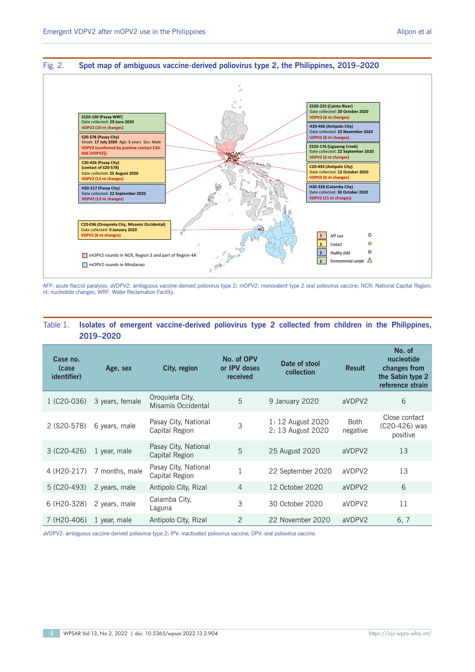#### Fig. 2. **Spot map of ambiguous vaccine-derived poliovirus type 2, the Philippines, 2019–2020**



AFP: acute flaccid paralysis; aVDPV2: ambiguous vaccine-derived poliovirus type 2; mOPV2: monovalent type 2 oral poliovirus vaccine; NCR: National Capital Region; nt: nucleotide changes; WRF: Water Reclamation Facility.

## Table 1. **Isolates of emergent vaccine-derived poliovirus type 2 collected from children in the Philippines, 2019–2020**

| Case no.<br>(case)<br><i>identifier</i> ) | Age, sex        | City, region                           | No. of OPV<br>or IPV doses<br>received | Date of stool<br>collection            | <b>Result</b>           | No. of<br>nucleotide<br>changes from<br>the Sabin type 2<br>reference strain |
|-------------------------------------------|-----------------|----------------------------------------|----------------------------------------|----------------------------------------|-------------------------|------------------------------------------------------------------------------|
| 1 (C20-036)                               | 3 years, female | Oroquieta City,<br>Misamis Occidental  | 5                                      | 9 January 2020                         | aVDPV2                  | 6                                                                            |
| 2 (S20-578)                               | 6 years, male   | Pasay City, National<br>Capital Region | 3                                      | 1: 12 August 2020<br>2: 13 August 2020 | <b>Both</b><br>negative | Close contact<br>(C20-426) was<br>positive                                   |
| $3($ C20-426)                             | 1 year, male    | Pasay City, National<br>Capital Region | 5                                      | 25 August 2020                         | aVDPV2                  | 13                                                                           |
| 4 (H2O-217)                               | 7 months, male  | Pasay City, National<br>Capital Region |                                        | 22 September 2020                      | aVDPV2                  | 13                                                                           |
| 5 (C20-493)                               | 2 years, male   | Antipolo City, Rizal                   | $\overline{4}$                         | 12 October 2020                        | aVDPV2                  | 6                                                                            |
| 6 (H <sub>2</sub> 0-328)                  | 2 years, male   | Calamba City,<br>Laguna                | 3                                      | 30 October 2020                        | aVDPV2                  | 11                                                                           |
| 7 (H <sub>2</sub> 0-406)                  | 1 year, male    | Antipolo City, Rizal                   | 2                                      | 22 November 2020                       | aVDPV2                  | 6, 7                                                                         |

aVDPV2: ambiguous vaccine-derived poliovirus type 2; IPV: inactivated poliovirus vaccine; OPV: oral poliovirus vaccine.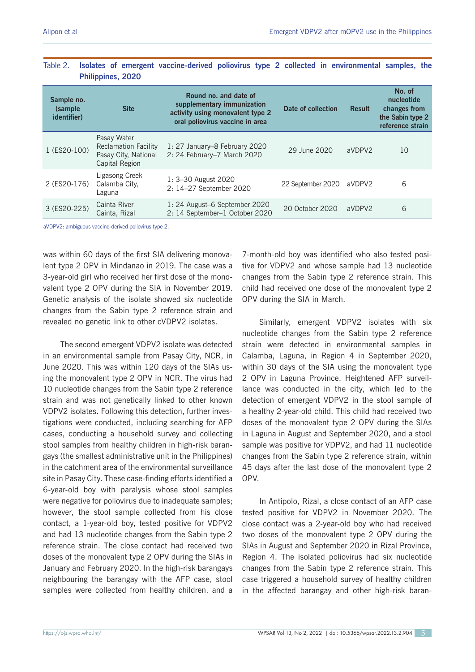| Sample no.<br>(sample)<br><i>identifier</i> ) | <b>Site</b>                                                                          | Round no. and date of<br>supplementary immunization<br>activity using monovalent type 2<br>oral poliovirus vaccine in area | Date of collection | <b>Result</b> | No. of<br>nucleotide<br>changes from<br>the Sabin type 2<br>reference strain |
|-----------------------------------------------|--------------------------------------------------------------------------------------|----------------------------------------------------------------------------------------------------------------------------|--------------------|---------------|------------------------------------------------------------------------------|
| 1 (ES20-100)                                  | Pasay Water<br><b>Reclamation Facility</b><br>Pasay City, National<br>Capital Region | 1: 27 January–8 February 2020<br>2: 24 February-7 March 2020                                                               | 29 June 2020       | aVDPV2        | 10                                                                           |
| 2 (ES20-176)                                  | Ligasong Creek<br>Calamba City.<br>Laguna                                            | 1: 3-30 August 2020<br>2: 14-27 September 2020                                                                             | 22 September 2020  | aVDPV2        | 6                                                                            |
| 3 (ES20-225)                                  | Cainta River<br>Cainta, Rizal                                                        | 1: 24 August–6 September 2020<br>2: 14 September-1 October 2020                                                            | 20 October 2020    | aVDPV2        | 6                                                                            |

## Table 2. **Isolates of emergent vaccine-derived poliovirus type 2 collected in environmental samples, the Philippines, 2020**

aVDPV2: ambiguous vaccine-derived poliovirus type 2.

was within 60 days of the first SIA delivering monovalent type 2 OPV in Mindanao in 2019. The case was a 3-year-old girl who received her first dose of the monovalent type 2 OPV during the SIA in November 2019. Genetic analysis of the isolate showed six nucleotide changes from the Sabin type 2 reference strain and revealed no genetic link to other cVDPV2 isolates.

The second emergent VDPV2 isolate was detected in an environmental sample from Pasay City, NCR, in June 2020. This was within 120 days of the SIAs using the monovalent type 2 OPV in NCR. The virus had 10 nucleotide changes from the Sabin type 2 reference strain and was not genetically linked to other known VDPV2 isolates. Following this detection, further investigations were conducted, including searching for AFP cases, conducting a household survey and collecting stool samples from healthy children in high-risk barangays (the smallest administrative unit in the Philippines) in the catchment area of the environmental surveillance site in Pasay City. These case-finding efforts identified a 6-year-old boy with paralysis whose stool samples were negative for poliovirus due to inadequate samples; however, the stool sample collected from his close contact, a 1-year-old boy, tested positive for VDPV2 and had 13 nucleotide changes from the Sabin type 2 reference strain. The close contact had received two doses of the monovalent type 2 OPV during the SIAs in January and February 2020. In the high-risk barangays neighbouring the barangay with the AFP case, stool samples were collected from healthy children, and a

7-month-old boy was identified who also tested positive for VDPV2 and whose sample had 13 nucleotide changes from the Sabin type 2 reference strain. This child had received one dose of the monovalent type 2 OPV during the SIA in March.

Similarly, emergent VDPV2 isolates with six nucleotide changes from the Sabin type 2 reference strain were detected in environmental samples in Calamba, Laguna, in Region 4 in September 2020, within 30 days of the SIA using the monovalent type 2 OPV in Laguna Province. Heightened AFP surveillance was conducted in the city, which led to the detection of emergent VDPV2 in the stool sample of a healthy 2-year-old child. This child had received two doses of the monovalent type 2 OPV during the SIAs in Laguna in August and September 2020, and a stool sample was positive for VDPV2, and had 11 nucleotide changes from the Sabin type 2 reference strain, within 45 days after the last dose of the monovalent type 2 OPV.

In Antipolo, Rizal, a close contact of an AFP case tested positive for VDPV2 in November 2020. The close contact was a 2-year-old boy who had received two doses of the monovalent type 2 OPV during the SIAs in August and September 2020 in Rizal Province, Region 4. The isolated poliovirus had six nucleotide changes from the Sabin type 2 reference strain. This case triggered a household survey of healthy children in the affected barangay and other high-risk baran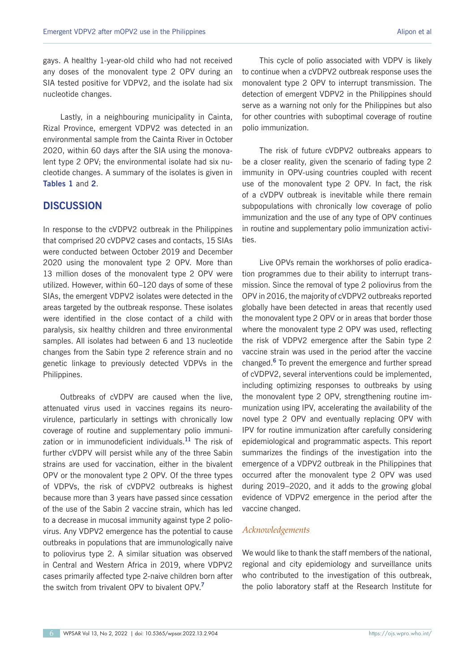gays. A healthy 1-year-old child who had not received any doses of the monovalent type 2 OPV during an SIA tested positive for VDPV2, and the isolate had six nucleotide changes.

Lastly, in a neighbouring municipality in Cainta, Rizal Province, emergent VDPV2 was detected in an environmental sample from the Cainta River in October 2020, within 60 days after the SIA using the monovalent type 2 OPV; the environmental isolate had six nucleotide changes. A summary of the isolates is given in **Tables 1** and **2**.

## **DISCUSSION**

In response to the cVDPV2 outbreak in the Philippines that comprised 20 cVDPV2 cases and contacts, 15 SIAs were conducted between October 2019 and December 2020 using the monovalent type 2 OPV. More than 13 million doses of the monovalent type 2 OPV were utilized. However, within 60–120 days of some of these SIAs, the emergent VDPV2 isolates were detected in the areas targeted by the outbreak response. These isolates were identified in the close contact of a child with paralysis, six healthy children and three environmental samples. All isolates had between 6 and 13 nucleotide changes from the Sabin type 2 reference strain and no genetic linkage to previously detected VDPVs in the Philippines.

Outbreaks of cVDPV are caused when the live, attenuated virus used in vaccines regains its neurovirulence, particularly in settings with chronically low coverage of routine and supplementary polio immunization or in immunodeficient individuals.**<sup>11</sup>** The risk of further cVDPV will persist while any of the three Sabin strains are used for vaccination, either in the bivalent OPV or the monovalent type 2 OPV. Of the three types of VDPVs, the risk of cVDPV2 outbreaks is highest because more than 3 years have passed since cessation of the use of the Sabin 2 vaccine strain, which has led to a decrease in mucosal immunity against type 2 poliovirus. Any VDPV2 emergence has the potential to cause outbreaks in populations that are immunologically naive to poliovirus type 2. A similar situation was observed in Central and Western Africa in 2019, where VDPV2 cases primarily affected type 2-naive children born after the switch from trivalent OPV to bivalent OPV.**<sup>7</sup>**

This cycle of polio associated with VDPV is likely to continue when a cVDPV2 outbreak response uses the monovalent type 2 OPV to interrupt transmission. The detection of emergent VDPV2 in the Philippines should serve as a warning not only for the Philippines but also for other countries with suboptimal coverage of routine polio immunization.

The risk of future cVDPV2 outbreaks appears to be a closer reality, given the scenario of fading type 2 immunity in OPV-using countries coupled with recent use of the monovalent type 2 OPV. In fact, the risk of a cVDPV outbreak is inevitable while there remain subpopulations with chronically low coverage of polio immunization and the use of any type of OPV continues in routine and supplementary polio immunization activities.

Live OPVs remain the workhorses of polio eradication programmes due to their ability to interrupt transmission. Since the removal of type 2 poliovirus from the OPV in 2016, the majority of cVDPV2 outbreaks reported globally have been detected in areas that recently used the monovalent type 2 OPV or in areas that border those where the monovalent type 2 OPV was used, reflecting the risk of VDPV2 emergence after the Sabin type 2 vaccine strain was used in the period after the vaccine changed.**<sup>6</sup>** To prevent the emergence and further spread of cVDPV2, several interventions could be implemented, including optimizing responses to outbreaks by using the monovalent type 2 OPV, strengthening routine immunization using IPV, accelerating the availability of the novel type 2 OPV and eventually replacing OPV with IPV for routine immunization after carefully considering epidemiological and programmatic aspects. This report summarizes the findings of the investigation into the emergence of a VDPV2 outbreak in the Philippines that occurred after the monovalent type 2 OPV was used during 2019–2020, and it adds to the growing global evidence of VDPV2 emergence in the period after the vaccine changed.

#### *Acknowledgements*

We would like to thank the staff members of the national, regional and city epidemiology and surveillance units who contributed to the investigation of this outbreak, the polio laboratory staff at the Research Institute for